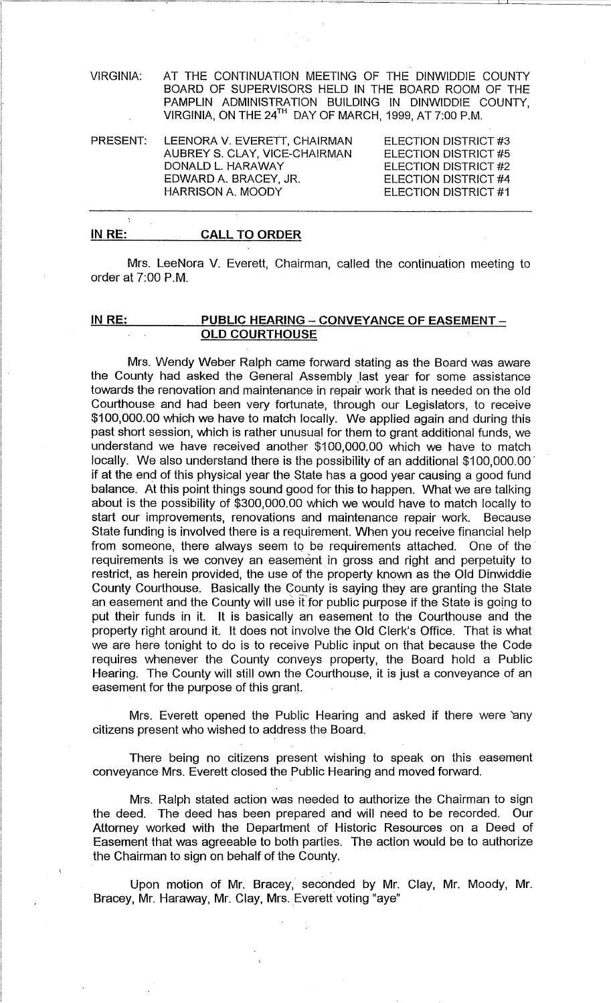VIRGINIA: AT THE CONTINUATION MEETING OF THE DINWIDDIE COUNTY BOARD OF SUPERVISORS HELD IN THE BOARD ROOM OF THE PAMPLIN ADMINISTRATION BUILDING IN DINWIDDIE COUNTY, VIRGINIA, ON THE 24<sup>TH</sup> DAY OF MARCH, 1999, AT 7:00 P.M.

المبط

PRESENT: LEENORA V. EVERETT, CHAIRMAN AUBREY S. CLAY, VICE-CHAIRMAN ELECTION DISTRICT #3 ELECTION DISTRICT #5 ELECTION DISTRICT #2 ELECTION DISTRICT #4 ELECTION DISTRICT #1 DONALD L. HARAWAY EDWARD A. BRACEY, JR. HARRISON A. MOODY

#### **IN RE: CALL TO ORDER**

Mrs. LeeNora V. Everett, Chairman, called the continuation meeting to order at 7:00 P.M.

#### IN RE: PUBLIC HEARING - CONVEYANCE OF EASEMENT -**OLD COURTHOUSE**

Mrs. Wendy Weber Ralph came forward stating as the Board was aware the County had asked the General Assembly Jast year for some assistance towards the renovation and maintenance in repair work that is needed on the old Courthouse and had been very fortunate, through our Legislators, to receive \$100,000.00 which we have to match locally. We applied again and during this past short session, which is rather unusual for them to grant additional funds, we understand we have received another \$100,000.00 which we have to match locally. We also understand there is the possibility of an additional \$100,000.00· if at the end of this physical year the State has a good year causing a good fund balance. At this point things sound good for this to happen. What we are talking about is the possibility of \$300,000.00 which we would have to match locally to start our improvements, renovations and maintenance repair work. Because State funding is involved there is a requirement. When you receive financial help from someone, there always seem to be requirements attached. One of the requirements is we convey an easement in gross and right and perpetuity to restrict, as herein provided, the use of the property known as the Old Dinwiddie County Courthouse. Basically the County is saying they are granting the State an easement and the County will use it for public purpose if the State is going to put their funds in it. It is basically an easement to the Courthouse and the property right around it. It does not involve the Old Clerk's Office. That is what we are here tonight to do is to receive Public input on that because the Code requires whenever the County conveys property, the Board hold a Public Hearing. The County will still own the Courthouse, it is just a conveyance of an easement for the purpose of this grant.

Mrs. Everett opened the Public Hearing and asked if there were any citizens present who wished to address the Board.

There being no citizens present wishing to speak on this easement conveyance Mrs. Everett closed the Public Hearing and moved forward.

Mrs. Ralph stated action was needed to authorize the Chairman to sign the deed. The deed has been prepared and will need to be recorded. Our Attorney worked with the Department of Historic Resources on a Deed of Easement that was agreeable to both parties. The action would be to authorize the Chairman to sign on behalf of the County.

Upon motion of Mr. Bracey, seconded by Mr. Clay, Mr. Moody, Mr. Bracey, Mr. Haraway, Mr. Clay, Mrs. Everett voting "aye"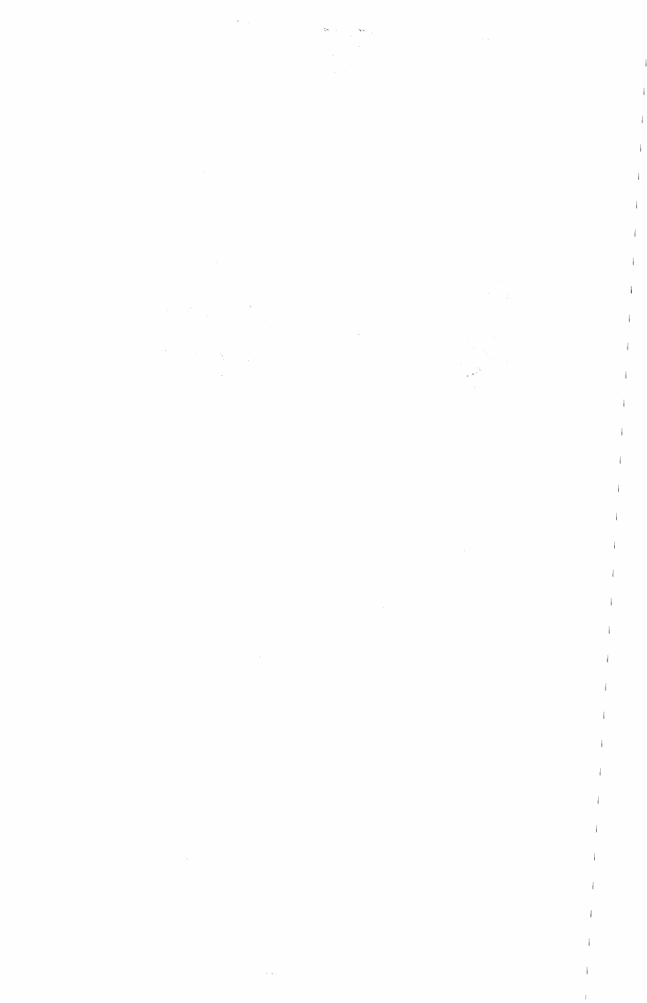$\ddot{x}$  $\left\langle \mathbf{v}_{\mathbf{v}}\right\rangle _{0}$ 

 $\label{eq:2.1} \begin{split} \frac{1}{\sqrt{2\pi}}\left(\frac{1}{\sqrt{2\pi}}\right)^{2} &\frac{1}{\sqrt{2\pi}}\left(\frac{1}{\sqrt{2\pi}}\right)^{2} &\frac{1}{\sqrt{2\pi}}\left(\frac{1}{\sqrt{2\pi}}\right)^{2} &\frac{1}{\sqrt{2\pi}}\left(\frac{1}{\sqrt{2\pi}}\right)^{2} &\frac{1}{\sqrt{2\pi}}\left(\frac{1}{\sqrt{2\pi}}\right)^{2} &\frac{1}{\sqrt{2\pi}}\left(\frac{1}{\sqrt{2\pi}}\right)^{2} &\frac{1}{\sqrt{$ 

 $\label{eq:2.1} \frac{1}{\sqrt{2}}\left(\frac{1}{\sqrt{2}}\right)^{2} \left(\frac{1}{\sqrt{2}}\right)^{2} \left(\frac{1}{\sqrt{2}}\right)^{2} \left(\frac{1}{\sqrt{2}}\right)^{2} \left(\frac{1}{\sqrt{2}}\right)^{2} \left(\frac{1}{\sqrt{2}}\right)^{2} \left(\frac{1}{\sqrt{2}}\right)^{2} \left(\frac{1}{\sqrt{2}}\right)^{2} \left(\frac{1}{\sqrt{2}}\right)^{2} \left(\frac{1}{\sqrt{2}}\right)^{2} \left(\frac{1}{\sqrt{2}}\right)^{2} \left(\$ 

 $\label{eq:2.1} \frac{1}{\sqrt{2}}\int_{0}^{\infty}\frac{1}{\sqrt{2\pi}}\left(\frac{1}{\sqrt{2\pi}}\right)^{2\alpha} \frac{1}{\sqrt{2\pi}}\int_{0}^{\infty}\frac{1}{\sqrt{2\pi}}\left(\frac{1}{\sqrt{2\pi}}\right)^{\alpha} \frac{1}{\sqrt{2\pi}}\frac{1}{\sqrt{2\pi}}\int_{0}^{\infty}\frac{1}{\sqrt{2\pi}}\frac{1}{\sqrt{2\pi}}\frac{1}{\sqrt{2\pi}}\frac{1}{\sqrt{2\pi}}\frac{1}{\sqrt{2\pi}}\frac{1}{\sqrt{2\pi}}$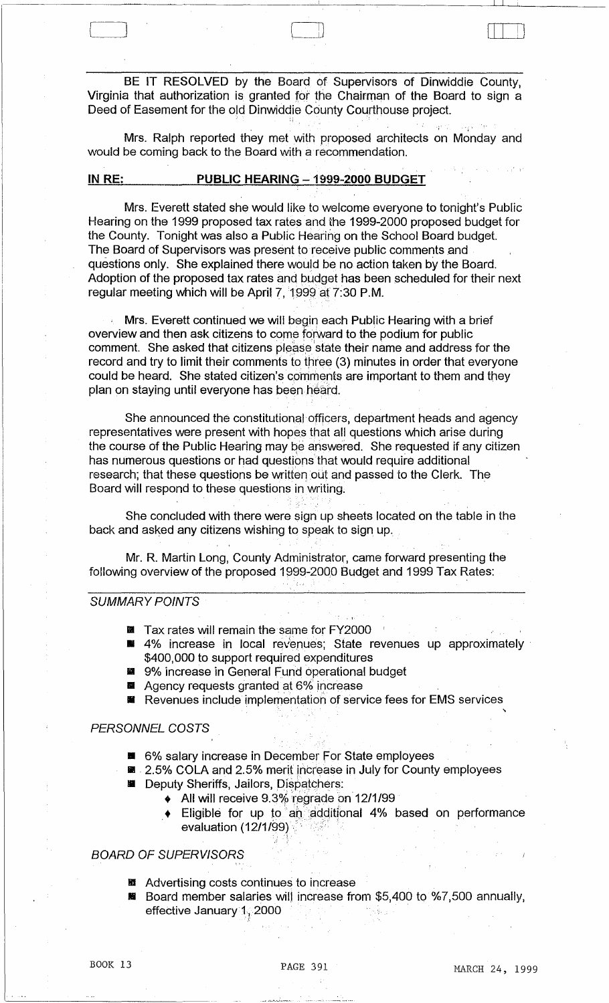BE IT RESOLVED by the Board of Supervisors of Dinwiddie County, Virginia that authorization is granted for the Chairman of the Board to sign a Deed of Easement for the old Dinwiddie County Courthouse project.

 $\Box$ 

, , , Mrs. Ralph reported they met with proposed architects on Monday and would be coming back to the Board with a recommendation.

#### **IN RE: PUBLIC HEARING - 1999-2000 BUDGET**

Mrs. Everett stated she would like to welcome everyone to tonight's Public Hearing on the 1999 proposed tax rates and the 1999-2000 proposed budget for the County. Tonight was also a Public Hearing on the School Board budget. The Board of Supervisors was present to receive public comments and questions only. She explained there would be no action taken by the Board. Adoption of the proposed tax rates and budget has been scheduled for their next regular meeting which will be April 7, 1999 at 7:30 P.M.

Mrs. Everett continued we will begin each Public Hearing with a brief overview and then ask citizens to come forward to the podium for public comment. She asked that citizens please state their name and address for the record and try to limit their comments to three (3) minutes in order that everyone could be heard. She stated citizen's comments are important to them and they plan on staying until everyone has beenheard.

She announced the constitutional officers, department heads and agency representatives were present with hopes that all questions which arise during the course of the Public Hearing may be answered. She requested if any citizen has numerous questions or had questions that would require additional research; that these questions be written out and passed to the Clerk. The Board will respond to these questions in writing.

She concluded with there were sign up sheets located on the table in the back and asked any citizens wishing to speak to sign up.

Mr. R. Martin Long, County Administrator, came forward presenting the following overview of the proposed 1999-2000 Budget and 1999 Tax Rates:

#### SUMMARY POINTS

- **a** Tax rates will remain the same for FY2000
- $\blacksquare$  4% increase in local revenues; State revenues up approximately \$400,000 to support required expenditures

, "

- 9% increase in General Fund operational budget
- Agency requests granted at 6% increase
- $\blacksquare$  Revenues include implementation of service fees for EMS services

#### PERSONNEL COSTS

- $\blacksquare$  6% salary increase in December For State employees
- **M** 2.5% COLA and 2.5% merit increase in July for County employees
- Deputy Sheriffs, Jailors, Dispatchers:
	- $\bullet$  All will receive 9.3% regrade on 12/1/99
	- Eligible for up to" ah:~dd,itional 4% based on performance evaluation  $(12/1/99)$ ! '

#### BOARD OF SUPERVISORS

- Advertising costs continues to increase
- Board member salaries will increase from \$5,400 to %7,500 annually, effective January 1, 2000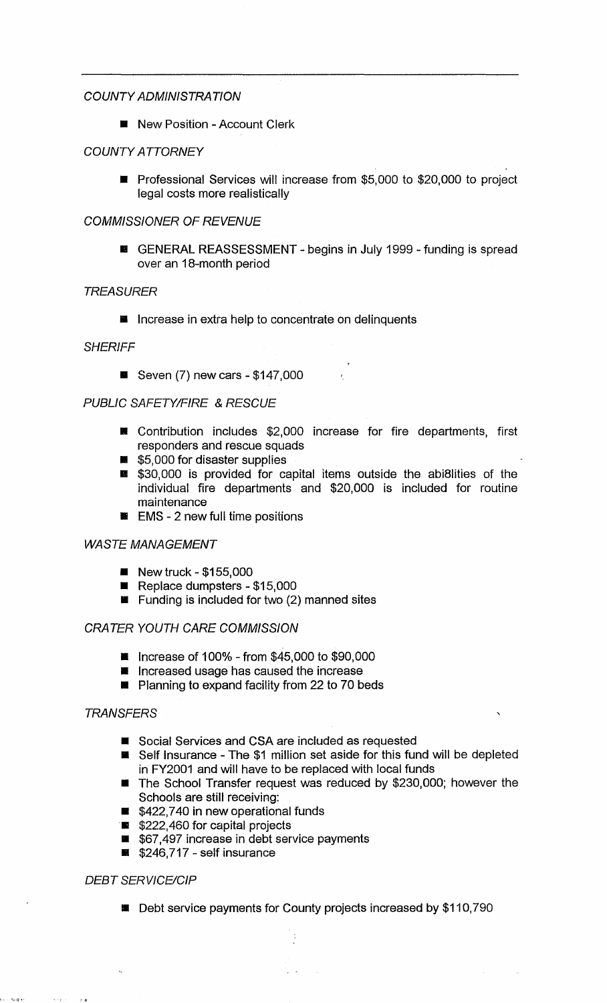## COUNTY ADMINISTRATION

**• New Position - Account Clerk** 

## COUNTY ATTORNEY

**• Professional Services will increase from \$5,000 to \$20,000 to project** legal costs more realistically

## COMMISSIONER OF REVENUE

**■** GENERAL REASSESSMENT - begins in July 1999 - funding is spread over an 1B-month period

#### **TREASURER**

 $\blacksquare$  Increase in extra help to concentrate on delinquents

#### **SHERIFF**

■ Seven  $(7)$  new cars - \$147,000

#### PUBLIC SAFETY/FIRE & RESCUE

- **EX** Contribution includes \$2,000 increase for fire departments, first responders and rescue squads
- $\blacksquare$  \$5,000 for disaster supplies
- \$30,000 is provided for capital items outside the abi8lities of the individual fire departments and \$20,000 is included for routine maintenance
- $\blacksquare$  EMS 2 new full time positions

#### WASTE MANAGEMENT

- $\blacksquare$  New truck \$155,000
- Replace dumpsters \$15,000
- $\blacksquare$  Funding is included for two (2) manned sites

#### CRATER YOUTH CARE COMMISSION

- Increase of 100% from \$45,000 to \$90,000
- $\blacksquare$  Increased usage has caused the increase
- $\blacksquare$  Planning to expand facility from 22 to 70 beds

#### **TRANSFERS**

- **E** Social Services and CSA are included as requested
- Self Insurance The \$1 million set aside for this fund will be depleted in FY2001 and will have to be replaced with local funds
- $\blacksquare$  The School Transfer request was reduced by \$230,000; however the Schools are still receiving:
- \$422,740 in new operational funds
- \$222,460 for capital projects
- $\blacksquare$  \$67,497 increase in debt service payments
- \$246,717 self insurance

#### DEBT SERVICE/CIP

": यू १

**EDED FOR SERVICE PAYMENTS for County projects increased by \$110,790**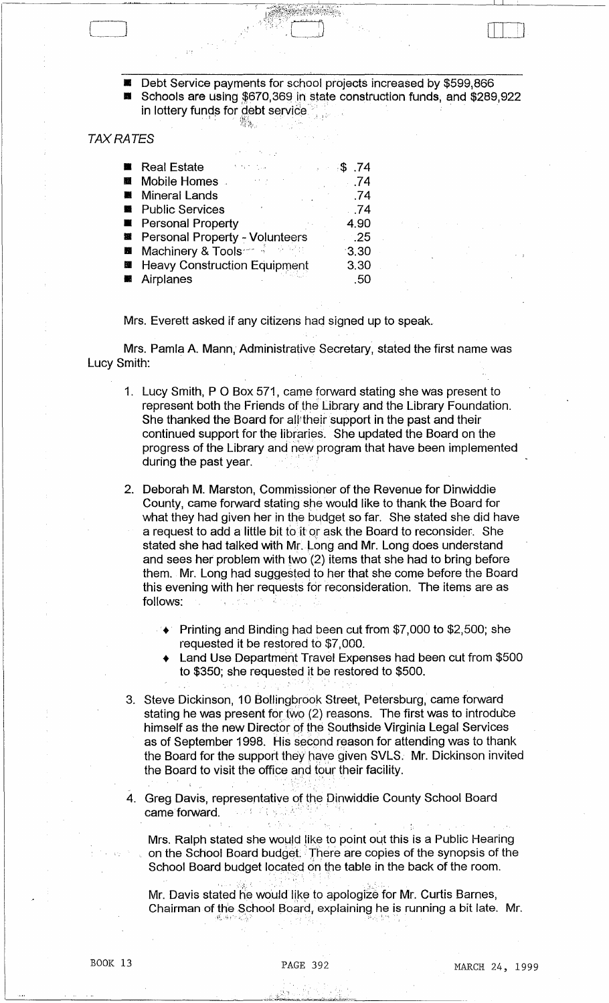Debt Service payments for school projects increased by \$599,866 Schools are using \$670, 369 in state construction funds, and \$289, 922 in lottery funds for debt service

 $\begin{array}{ccc} \hline \ \hline \ \end{array}$   $\begin{array}{ccc} \hline \ \hline \ \end{array}$   $\begin{array}{ccc} \hline \ \hline \ \end{array}$   $\begin{array}{ccc} \hline \ \hline \ \end{array}$ 

|   | ■ Real Estate<br><b>KING TO MUS</b>   | .74<br>- S<br>$\mathbf{r} = \mathbf{r} \mathbf{r}$ |
|---|---------------------------------------|----------------------------------------------------|
| 圏 | Mobile Homes                          | .74                                                |
| ■ | <b>Mineral Lands</b>                  | .74                                                |
| B | <b>Public Services</b>                | - 74                                               |
|   | <b>Personal Property</b>              | 4.90                                               |
| 習 | <b>Personal Property - Volunteers</b> | $\cdot$ .25                                        |
| H | Machinery & Tools                     | 3.30                                               |
| 團 | <b>Heavy Construction Equipment</b>   | 3.30                                               |
|   | <b>Airplanes</b>                      | 50                                                 |

 $\mathcal{P}(\mathbf{x})$  .

TAX RATES

Mrs. Everett asked if any citizens had signed up to speak.

Mrs. Pamla A. Mann, Administrative Secretary, stated the first name was Lucy Smith:

- 1. Lucy Smith, POBox 571, came forward stating she was present to represent both the Friends of the Library and the Library Foundation. She thanked the Board for all'their support in the past and their continued support for the libraries. She updated the Board on the progress of the Library and new program that have been implemented during the past year.
- 2. Deborah M. Marston, Commissioner of the Revenue for Dinwiddie County, came forward stating she would like to thank the Board for what they had given her in the budget so far. She stated she did have a request to add a little bit to it or ask the Board to reconsider. She stated she had talked with Mr. Long and Mr. Long does understand and sees her problem with two (2) items that she had to bring before them. Mr. Long had suggested to her that she come before the Board this evening with her requests for reconsideration. The items are as follows:
	- Printing and Binding had been cut from \$7,000 to \$2,500; she requested it be restored to \$7,000.
	- Land Use Department Travel Expenses had been cut from \$500 to \$350; she requested it be restored to \$500.
- 3. Steve Dickinson, 10 Bollingbrook Street, Petersburg, came forward stating he was present for two  $(2)$  reasons. The first was to introduce himself as the new Director pf the Southside Virginia Legal Services as of September 1998. His second reason for attending was to thank the Board for the support they have given SVLS. Mr. Dickinson invited the Board to visit the office and tour their facility.
- 4. Greg Davis, representative of the Dinwiddie County School Board came forward.

Mrs. Ralph stated she would like to point out this is a Public Hearing on the School Board budget. There are copies of the synopsis of the School Board budget located on the table in the back of the room.

Mr. Davis stated he would like to apologize for Mr. Curtis Barnes, Chairman of the School Board, explaining he is running a bit late. Mr. -r:., J;, • "", : . :". I" .

.;', ,". . '-\_\_\_\_\_\_\_\_\_\_\_\_\_\_\_\_\_ .c.c:.'~~~,-·,.','.\_cr\_"-·-,·"\_ .. \_\_\_\_\_\_ <sup>~</sup>

لمسيلا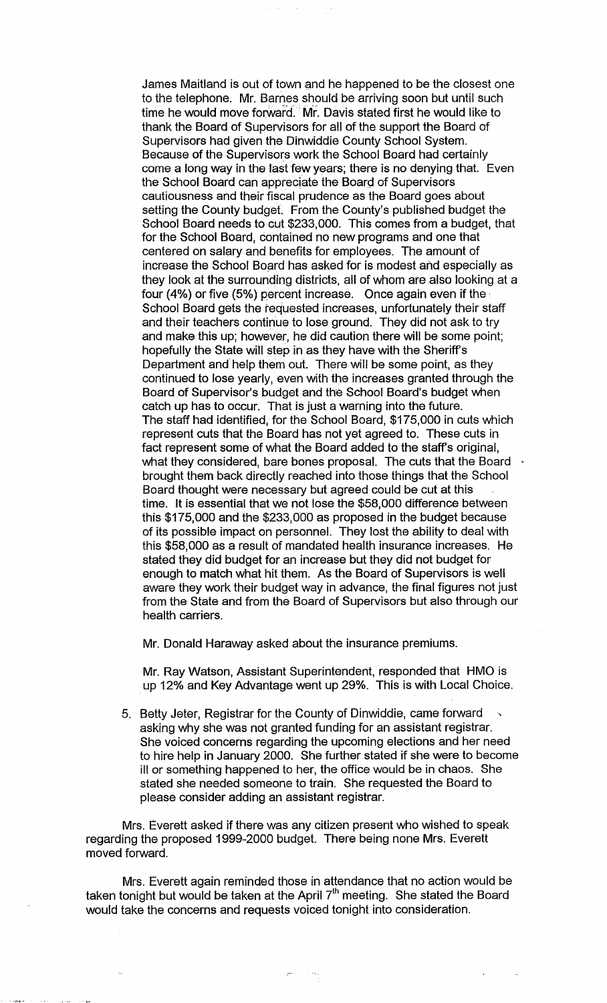James Maitland is out of town gnd he happened to be the closest one to the telephone. Mr. Barnes should be arriving soon but until such time he would move forward. Mr. Davis stated first he would like to thank the Board of Supervisors for all of the support the Board of Supervisors had given the Dinwiddie County School System. Because of the Supervisors work the School Board had certainly come a long way in the last few years; there is no denying that. Even the School Board can appreciate the Board of Supervisors cautiousness and their fiscal prudence as the Board goes about setting the County budget. From the County's published budget the School Board needs to cut \$233,000. This comes from a budget, that for the School Board, contained no new programs and one that centered on salary and benefits for employees. The amount of increase the School Board has asked for is modest and especially as they look at the surrounding districts, all of whom are also looking at a four (4%) or five (5%) percent increase. Once again even if the· School Board gets the requested increases, unfortunately their staff and their teachers continue to lose ground. They did not ask to try and make this up; however, he did caution there will be some point; hopefully the State will step in as they have with the Sheriff's Department and help them out. There will be some point, as they continued to lose yearly, even with the increases granted through the Board of Supervisor's budget and the School Board's budget when catch up has to occur. That is just a warning into the future. The staff had identified, for the School Board, \$175,000 in cuts which represent cuts that the Board has not yet agreed to. These cuts in fact represent some of what the Board added to the staff's original, what they considered, bare bones proposal. The cuts that the Board . brought them back directly reached into those things that the School Board thought were necessary but agreed could be cut at this time. It is essential that we not lose the \$58,000 difference between this \$175,000 and the \$233,000 as proposed in the budget because of its possible impact on personnel. They lost the ability to deal with this \$58,000 as a result of mandated health insurance increases. He stated they did budget for an increase but they did not budget for enough to match what hit them. As the Board of Supervisors is well aware they work their budget way in advance, the final figures not just from the State and from the Board of Supervisors but also through our health carriers.

Mr. Donald Haraway asked about the insurance premiums.

Mr. Ray Watson, Assistant Superintendent, responded that HMO is up 12% and Key Advantage went up 29%. This is with Local Choice.

5. Betty Jeter, Registrar for the County of Dinwiddie, came forward, asking why she was not granted funding for an assistant registrar. She voiced concerns regarding the upcoming elections and her need to hire help in January 2000. She further stated if she were to become ill or something happened to her, the office would be in chaos. She stated she needed someone to train. She requested the Board to please consider adding an assistant registrar.

Mrs. Everett asked if there was any citizen present who wished to speak regarding the proposed 1999-2000 budget. There being none Mrs. Everett moved forward.

Mrs. Everett again reminded those in attendance that no action would be taken tonight but would be taken at the April  $7<sup>th</sup>$  meeting. She stated the Board would take the concerns and requests voiced tonight into consideration.

r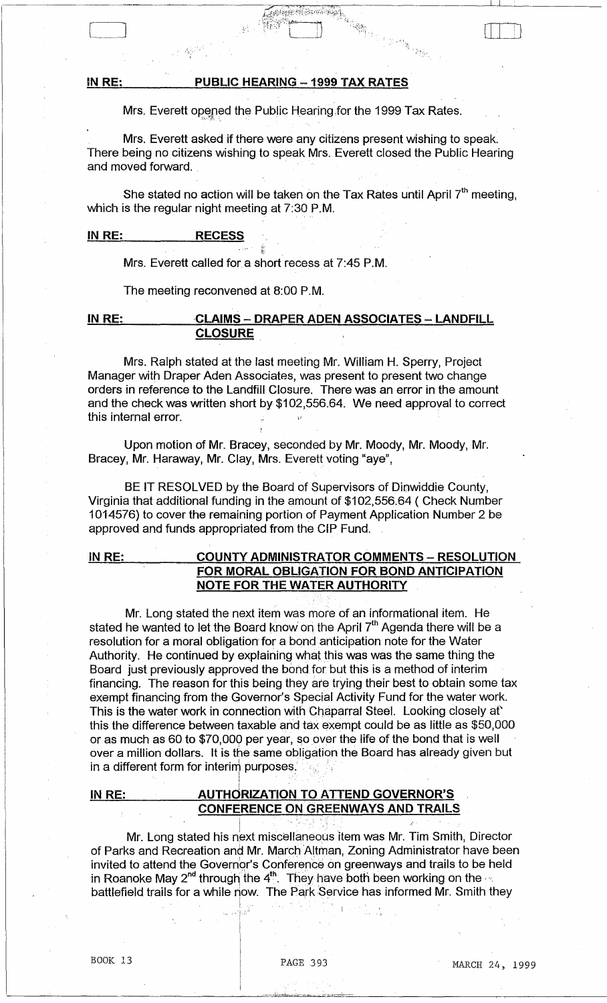Mrs. Everett opened the Public Hearing for the 1999 Tax Rates.  $\,$ 

Mrs. Everett asked if there were any citizens present wishing to speak. There being no citizens wishing to speak Mrs. Everett closed the Public Hearing and moved forward.

She stated no action will be taken on the Tax Rates until April  $7<sup>th</sup>$  meeting, which is the regular night meeting at 7:30 P.M.

#### IN RE: RECESS

Mrs. Everett called for a short recess at 7:45 P.M.

The meeting reconvened at 8:00 P.M.

#### IN RE: CLAIMS - DRAPER ADEN ASSOCIATES - LANDFILL CLOSURE

Mrs. Ralph stated at the last meeting Mr. William H. Sperry, Project Manager with Draper Aden Associates, was present to present two change orders in reference to the Landfill Closure. There was an error in the amount and the check was written short by \$102,556.64. We need approval to correct this internal error.

Upon motion of Mr. Bracey, seconded by Mr. Moody, Mr. Moody, Mr. Bracey, Mr. Haraway, Mr. Clay, Mrs. Everett voting "aye",

BE IT RESOLVED by the Board of Supervisors of Dinwiddie County, Virginia that additional funding in the amount of \$102,556.64 ( Check Number 1014576) to cover the remaining portion of Payment Application Number 2 be approved and funds appropriated from the CIP Fund.

#### IN RE: COUNTY ADMINISTRATOR COMMENTS - RESOLUTION FOR MORAL OBLIGATION FOR BOND ANTICIPATION NOTE FOR THE WATER AUTHORITY

Mr. Long stated the next item was more of an informational item. He stated he wanted to let the Board know on the April  $7<sup>th</sup>$  Agenda there will be a resolution for a moral obligation for a bond anticipation note for the Water Authority. He continued by explaining what this was was the same thing the Board just previously approved the bond for but this is a method of interim financing. The reason for this being they are trying their best to obtain some tax exempt financing from the Governor's Special Activity Fund for the water work. This is the water work in connection with Ghaparral Steel. Looking closely at' this the difference between taxable and tax exempt could be as little as \$50,000 or as much as 60 to \$70,000 per year, so over the life of the bond that is well over a million dollars. It is the same obligation the Board has already given but in a different form for interim purposes.

# IN RE: AUTHORIZATION TO ATTEND GOVERNOR'S CONFERENCE ON GREENWAYS AND TRAILS

 $\mathbf{I} = \{ \mathbf{I} \mid \mathbf{I} \in \mathbb{R}^d \mid \mathbf{I} \in \mathbb{R}^d \}$ 

I

Mr. Long stated his next miscellaneous item was Mr. Tim Smith, Director of Parks and Recreation and Mr. March"Altman, Zoning Administrator have been invited to attend the Governor's Conference on greenways and trails to be held in Roanoke May 2<sup>nd</sup> through the 4<sup>th</sup>. They have both been working on the battlefield trails for a while now. The Park Service has informed Mr. Smith they

ـلمـــلـــلـــ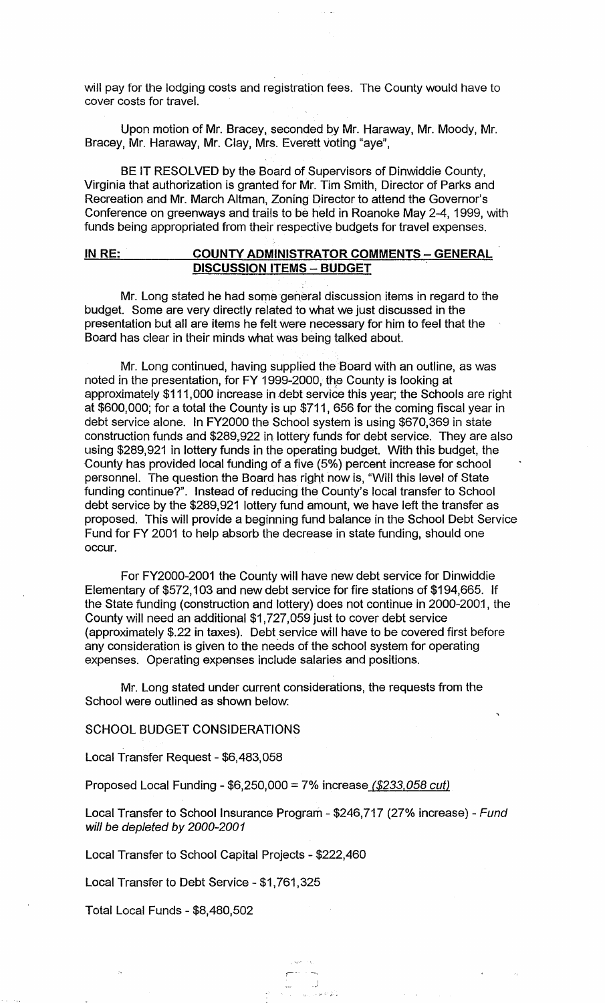will pay for the lodging costs and registration fees. The County would have to cover costs for travel.

Upon motion of Mr. Bracey, seconded by Mr. Haraway, Mr. Moody, Mr. Bracey, Mr. Haraway, Mr. Clay, Mrs. Everett voting "aye",

BE IT RESOLVED by the Board of Supervisors of Dinwiddie County, Virginia that authorization is granted for Mr. Tim Smith, Director of Parks and Recreation and Mr. March Altman, Zoning Director to attend the Governor's Conference on greenways and trails to be held in Roanoke May 2-4, 1999, with funds being appropriated from their respective budgets for travel expenses.

#### **IN RE: COUNTY ADMINISTRATOR COMMENTS - GENERAL DISCUSSION ITEMS - BUDGET**

Mr. Long stated he had some general discussion items in regard to the budget. Some are very directly related to what we just discussed in the presentation but all are items he felt were necessary for him to feel that the Board has clear in their minds what was being talked about.

Mr. Long continued, having supplied the Board with an outline, as was noted in the presentation, for FY 1999-2000, the County is looking at approximately \$111,000 increase indebt service this year; the Schools are right at \$600,000; for a total the County is up \$711,656 for the coming fiscal year in debt service alone. In FY2000 the School system is using \$670,369 in state construction funds and \$289,922 in lottery funds for debt service. They are also using \$289,921 in lottery funds in the operating budget. With this budget, the County has provided local funding of a five (5%) percent increase for school personnel. The question the Board has right now is, "Will this level of State funding continue?". Instead of reducing the County's local transfer to School debt service by the \$289,921 lottery fund amount, we have left the transfer as proposed. This will provide a beginning fund balance in the School Debt Service Fund for FY 2001 to help absorb the decrease in state funding, should one occur.

For FY2000-2001 the County will have new debt service for Dinwiddie Elementary of \$572,103 and new debt service for fire stations of \$194,665. If the State funding (construction and lottery) does not continue in 2000-2001, the County will need an additional \$1,727,059 just to cover debt service (approximately \$.22 in taxes). Debt service will have to be covered first before any consideration is given to the needs of the school system for operating expenses. Operating expenses include salaries and positions.

Mr. Long stated under current considerations, the requests from the School were outlined as shown below:

#### SCHOOL BUDGET CONSIDERATIONS

Local Transfer Request - \$6,483,058

Proposed Local Funding -  $$6,250,000 = 7\%$  increase (\$233,058 cut)

Local Transfer to School Insurance Program - \$246,717 (27% increase) - Fund will be depleted by 2000-2001

,-,-

Local Transfer to School Capital Projects - \$222,460

Local Transfer to Debt Service - \$1,761,325

Total Local Funds - \$8,480,502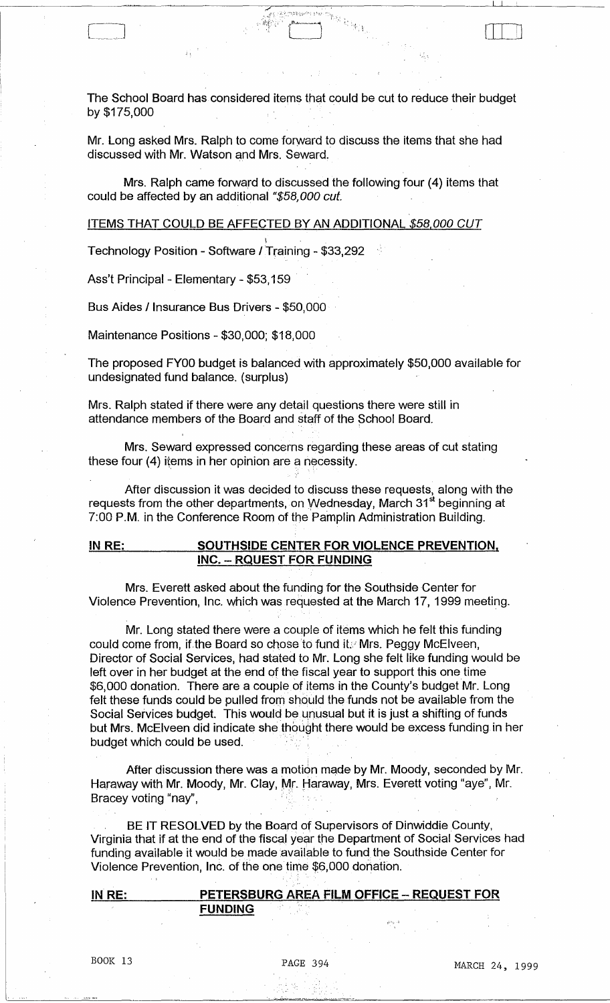The School Board has considered items that could be cut to reduce their budget by \$175,000

Mr. Long asked Mrs. Ralph to come forward to discuss the items that she had discussed with Mr. Watson and Mrs. Seward.

Mrs. Ralph came forward to discussed the following four (4) items that could be affected by an additional "\$58,000 cut.

ITEMS THAT COULD BE AFFECTED BY AN ADDITIONAL \$58,000 CUT

 $\operatorname{\mathsf{Technology}}$  Position - Software / $\operatorname{\mathsf{Training}}$  - \$33,292

Ass't Principal - Elementary - \$53,159

Bus Aides / Insurance Bus Drivers - \$50,000

Maintenance Positions - \$30,000; \$18,000

The proposed FYOO budget is balanced with approximately \$50,000 available for undesignated fund balance. (surplus)

Mrs. Ralph stated if there were any detail questions there were still in attendance members of the Board and staff of the School Board.

Mrs. Seward expressed concerns regarding these areas of cut stating these four (4) items in her opinion are a necessity.

After discussion it was decided to discuss these requests, along with the requests from the other departments, on Wednesday, March 31<sup>st</sup> beginning at 7:00 P.M. in the Conference Room of the Pamplin Administration Building.

#### IN RE: SOUTHSIDE CENTER FOR VIOLENCE PREVENTION, INC. - RQUEST FOR FUNDING

Mrs. Everett asked about the funding for the Southside Center for Violence Prevention, Inc. which was requested at the March 17, 1999 meeting.

Mr. Long stated there were a couple of items which he felt this funding could come from, if the Board so chose to fund it. Mrs. Peggy McElveen, Director of Social Services, had stated to Mr. Long she felt like funding would be left over in her budget at the end Of the fiscal year to support this one time \$6,000 donation. There are a couple of items in the County's budget Mr. Long felt these funds could be pulled from should the funds not be available from the Social Services budget. This would be unusual but it is just a shifting of funds but Mrs. McElveen did indicate she thought there would be excess funding in her budget which could be used.

After discussion there was a motion made by Mr. Moody, seconded by Mr. Haraway with Mr. Moody, Mr. Clay, Mr. Haraway, Mrs. Everett voting "aye", Mr. Bracey voting "nay", .

BE IT RESOLVED by the Board of Supervisors of Dinwiddie County, Virginia that if at the end of the fiscal year the Department of Social Services had funding available it would be made available to fund the Southside Center for Violence Prevention, Inc. of the one time \$6,000 donation.

| IN RE: |                |  | <b>PETERSBURG AREA FILM OFFICE - REQUEST FOR</b> |  |
|--------|----------------|--|--------------------------------------------------|--|
|        | <b>FUNDING</b> |  |                                                  |  |

الصاد

',. <sup>~</sup>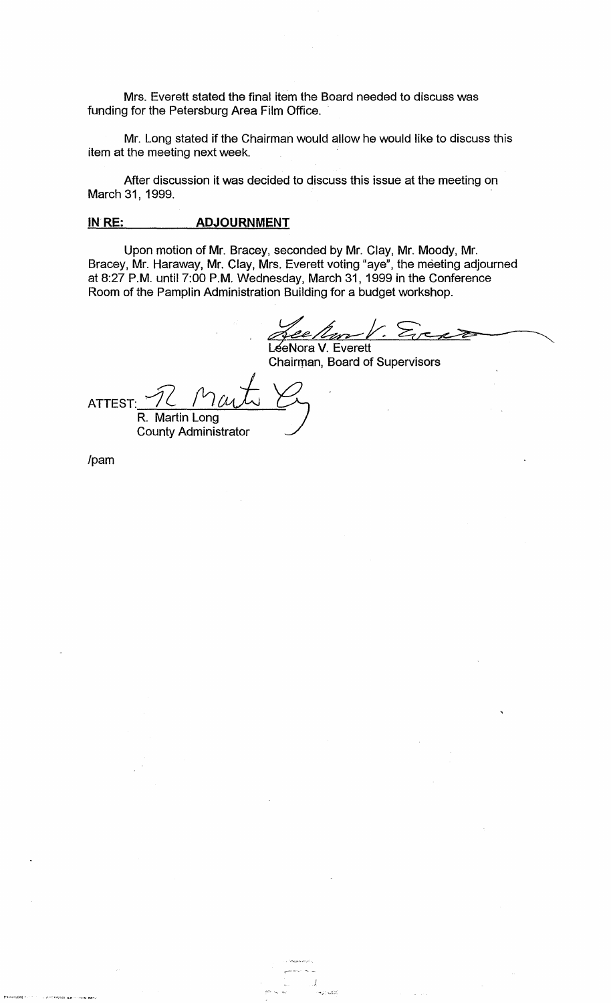Mrs. Everett stated the final item the Board needed to discuss was funding for the Petersburg Area Film Office.

Mr. Long stated if the Chairman would allow he would like to discuss this item at the meeting next week.

After discussion it was decided to discuss this issue at the meeting on March 31, 1999.

#### **INRE: ADJOURNMENT**

Upon motion of Mr. Bracey, seconded by Mr. Clay, Mr. Moody, Mr. Bracey, Mr. Haraway, Mr. Clay, Mrs. Everett voting "aye", the meeting adjourned at 8:27 P.M. until 7:00 P.M. Wednesday, March 31, 1999 in the Conference Room of the Pamplin Administration Building for a budget workshop.

,----'

"'" I' '~';-'.

ale //www<br>LeeNora V. Everett

Chairman, Board of Supervisors

 $ATTEST: 72$   $Mau$   $L \nleftrightarrow R$ . Martin Long

County Administrator

/pam

~" •• ,'''I ,\:"'1 -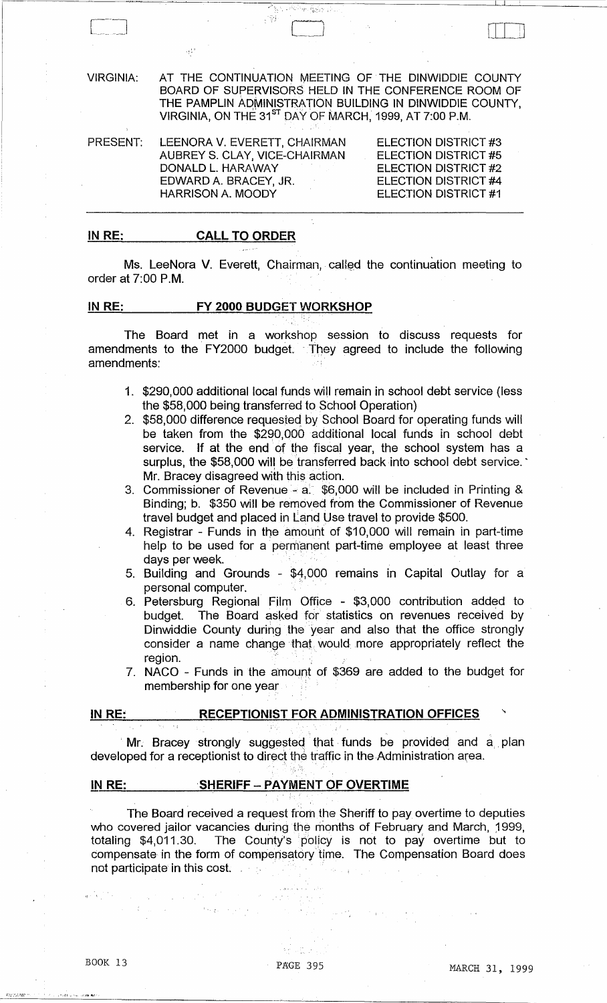VIRGINIA: AT THE CONTINUATION MEETING OF THE DINWIDDIE COUNTY BOARD OF SUPERVISORS HELD IN THE CONFERENCE ROOM OF THE PAMPLIN ADMINISTRATION BUILDING IN DINWIDDIE COUNTY, VIRGINIA, ON THE 31<sup>ST</sup> DAY OF MARCH, 1999, AT 7:00 P.M.

| PRESENT: | LEENORA V. EVERETT, CHAIRMAN  | ELECTION DISTRICT #3 |
|----------|-------------------------------|----------------------|
|          | AUBREY S. CLAY, VICE-CHAIRMAN | ELECTION DISTRICT #5 |
|          | DONALD L. HARAWAY             | ELECTION DISTRICT #2 |
|          | EDWARD A. BRACEY, JR.         | ELECTION DISTRICT #4 |
|          | HARRISON A. MOODY             | ELECTION DISTRICT #1 |
|          |                               |                      |

#### IN RE: CALL TO ORDER

Ms. LeeNora V. Everett, Chairman, called the continuation meeting to order at 7:00 P.M.

÷.

#### IN RE: FY 2000 BUDGET WORKSHOP

The Board met in a workshop session to discuss requests for amendments to the FY2000 budget. They agreed to include the following amendments:

- 1. \$290,000 additional local funds will remain in school debt service (less the \$58,000 being transferred to School Operation)
- 2. \$58,000 difference requested by School Board for operating funds will be taken from the \$290,000 additional local funds in school debt service. If at the end of the fiscal year, the school system has a surplus, the \$58,000 will be transferred back into school debt service. Mr. Bracey disagreed with this action.
- 3. Commissioner of Revenue a: \$6,000 will be included in Printing & Binding; b. \$350 will be removed from the Commissioner of Revenue travel budget and placed in Land Use travel to provide \$500.
- 4. Registrar Funds in the amount of \$10,000 will remain in part-time help to be used for a permanent part-time employee at least three days per week.
- 5. Building and Grounds \$4,000 remains in Capital Outlay for a personal computer.
- 6. Petersburg Regional Film Office \$3,000 contribution added to budget. The Board asked for statistics on revenues received by Dinwiddie County during the year and also that the office strongly consider a name change that would more appropriately reflect the region.
- 7. NACO Funds in the amount of \$369 are added to the budget for membership for one year

#### IN RE: RECEPTIONIST FOR ADMINISTRATION OFFICES

. Mr. Bracey strongly suggested that· funds be provided and a. plan developed for a receptionist to direct the traffic in the Administration area.

#### IN RE: SHERIFF - PAYMENT OF OVERTIME

The Board received a request from the Sheriff to pay overtime to deputies who covered jailor vacancies during the months of February and March, 1999, totaling \$4,011.30. The County's policy is not to pay overtime but to compensate in the form of comperisatory'time. The Compensation Board does not participate in this cost.

• J ;

in 1973

BOOK 13 **PAGE 395** PAGE 395 MARCH 31, 1999

[[D